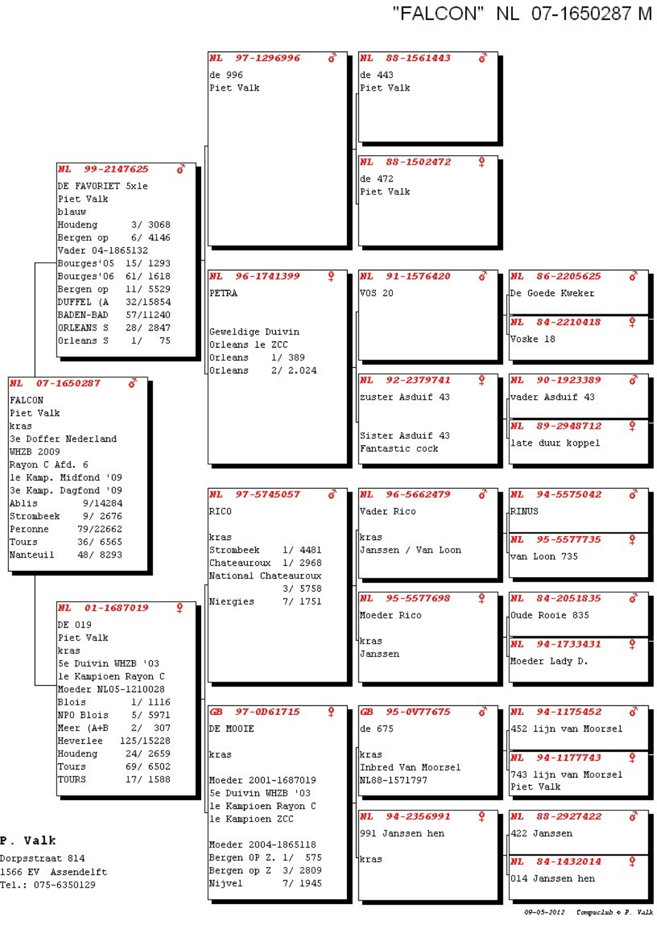"FALCON" NL 07-1650287 M



| Meer (A+B | 307<br>27 |
|-----------|-----------|
| Heverlee  | 125/15228 |
| Houdeng   | 24/ 2659  |
| Tours     | 697 6502  |
| TOURS     | 17/ 1588  |

P. Valk

Dorpsstraat 814 1566 EV Assendelft Tel.: 075-6350129

|      | DE MOOIE            |  |                     |  |
|------|---------------------|--|---------------------|--|
| kras |                     |  |                     |  |
|      | Moeder 2001-1687019 |  |                     |  |
|      | 5e Duivin WHZB '03  |  |                     |  |
|      | le Kampioen Rayon C |  |                     |  |
|      | le Kampioen ZCC     |  |                     |  |
|      | Moeder 2004-1865118 |  |                     |  |
|      |                     |  | Bergen OP Z. 1/ 575 |  |
|      |                     |  | Bergen op Z 3/ 2809 |  |
|      | Nijvel              |  | 7/ 1945             |  |

| de 675                                     | 4452 lijn van Moorsel                                   |
|--------------------------------------------|---------------------------------------------------------|
| kras<br>Inbred Van Moorsel<br>NL88-1571797 | NL 94-1177743<br>۰<br>743 lijn van Moorsel<br>Piet Valk |
| NL<br>94-2356991<br>991 Janssen hen        | NL<br>88-2927422<br>422 Janssen                         |
| ikras                                      | ۰<br>NL 84-1432014<br>l014 Janssen hen                  |

<sup>09-05-2012</sup> Compuclub  $\triangle$  F. Valk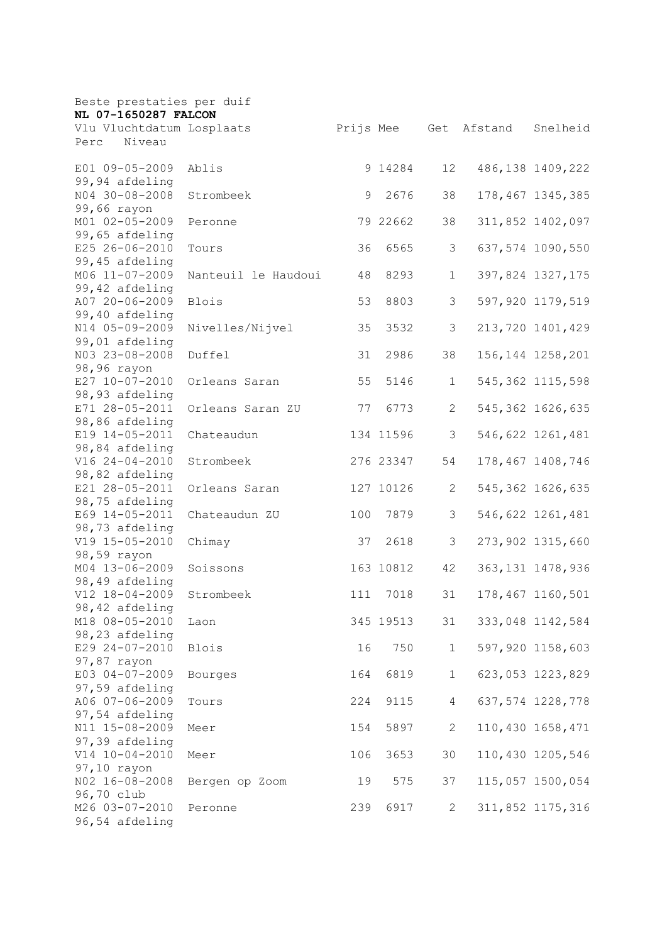| Beste prestaties per duif        |                     |     |           |                |             |                    |
|----------------------------------|---------------------|-----|-----------|----------------|-------------|--------------------|
| NL 07-1650287 FALCON             |                     |     |           |                |             |                    |
| Vlu Vluchtdatum Losplaats        |                     |     | Prijs Mee |                | Get Afstand | Snelheid           |
| Niveau<br>Perc                   |                     |     |           |                |             |                    |
| E01 09-05-2009                   | Ablis               |     | 9 14284   | 12             |             | 486, 138 1409, 222 |
| 99,94 afdeling                   |                     |     |           |                |             |                    |
| N04 30-08-2008                   | Strombeek           | 9   | 2676      | 38             |             | 178,467 1345,385   |
| 99,66 rayon                      |                     |     |           |                |             |                    |
| M01 02-05-2009                   | Peronne             |     | 79 22662  | 38             |             | 311,852 1402,097   |
| 99,65 afdeling                   |                     |     |           |                |             |                    |
| E25 26-06-2010                   | Tours               | 36  | 6565      | 3              |             | 637,574 1090,550   |
| 99,45 afdeling                   |                     |     |           |                |             |                    |
| M06 11-07-2009                   | Nanteuil le Haudoui | 48  | 8293      | $\mathbf 1$    |             | 397,824 1327,175   |
| 99,42 afdeling                   |                     |     |           |                |             |                    |
| A07 20-06-2009                   | <b>Blois</b>        | 53  | 8803      | 3              |             | 597,920 1179,519   |
| 99,40 afdeling                   |                     |     |           |                |             |                    |
| N14 05-09-2009                   | Nivelles/Nijvel     | 35  | 3532      | 3              |             | 213,720 1401,429   |
| 99,01 afdeling                   |                     |     |           |                |             |                    |
| N03 23-08-2008                   | Duffel              | 31  | 2986      | 38             |             | 156, 144 1258, 201 |
| 98,96 rayon                      |                     |     |           |                |             |                    |
| E27 10-07-2010                   | Orleans Saran       | 55  | 5146      | $\mathbf 1$    |             | 545, 362 1115, 598 |
| 98,93 afdeling<br>E71 28-05-2011 | Orleans Saran ZU    | 77  | 6773      | $\mathbf{2}$   |             | 545, 362 1626, 635 |
| 98,86 afdeling                   |                     |     |           |                |             |                    |
| E19 14-05-2011                   | Chateaudun          |     | 134 11596 | 3              |             | 546,622 1261,481   |
| 98,84 afdeling                   |                     |     |           |                |             |                    |
| V16 24-04-2010                   | Strombeek           |     | 276 23347 | 54             |             | 178,467 1408,746   |
| 98,82 afdeling                   |                     |     |           |                |             |                    |
| E21 28-05-2011                   | Orleans Saran       |     | 127 10126 | 2              |             | 545, 362 1626, 635 |
| 98,75 afdeling                   |                     |     |           |                |             |                    |
| E69 14-05-2011                   | Chateaudun ZU       | 100 | 7879      | 3              |             | 546,622 1261,481   |
| 98,73 afdeling                   |                     |     |           |                |             |                    |
| V19 15-05-2010                   | Chimay              | 37  | 2618      | 3              |             | 273,902 1315,660   |
| 98,59 rayon                      |                     |     |           |                |             |                    |
| M04 13-06-2009                   | Soissons            |     | 163 10812 | 42             |             | 363, 131 1478, 936 |
| 98,49 afdeling                   |                     |     |           |                |             |                    |
| V12 18-04-2009                   | Strombeek           | 111 | 7018      | 31             |             | 178,467 1160,501   |
| 98,42 afdeling                   |                     |     |           |                |             |                    |
| M18 08-05-2010                   | Laon                |     | 345 19513 | 31             |             | 333,048 1142,584   |
| 98,23 afdeling                   |                     |     |           |                |             |                    |
| E29 24-07-2010                   | <b>Blois</b>        | 16  | 750       | $\mathbf 1$    |             | 597,920 1158,603   |
| 97,87 rayon<br>E03 04-07-2009    |                     |     |           |                |             | 623,053 1223,829   |
| 97,59 afdeling                   | Bourges             | 164 | 6819      | 1              |             |                    |
| A06 07-06-2009                   | Tours               | 224 | 9115      | $\overline{4}$ |             | 637,574 1228,778   |
| 97,54 afdeling                   |                     |     |           |                |             |                    |
| N11 15-08-2009                   | Meer                | 154 | 5897      | $\mathbf{2}$   |             | 110,430 1658,471   |
| 97,39 afdeling                   |                     |     |           |                |             |                    |
| V14 10-04-2010                   | Meer                | 106 | 3653      | 30             |             | 110,430 1205,546   |
| 97,10 rayon                      |                     |     |           |                |             |                    |
| NO2 16-08-2008                   | Bergen op Zoom      | 19  | 575       | 37             |             | 115,057 1500,054   |
| 96,70 club                       |                     |     |           |                |             |                    |
| M26 03-07-2010                   | Peronne             | 239 | 6917      | $\mathbf{2}$   |             | 311,852 1175,316   |
| 96,54 afdeling                   |                     |     |           |                |             |                    |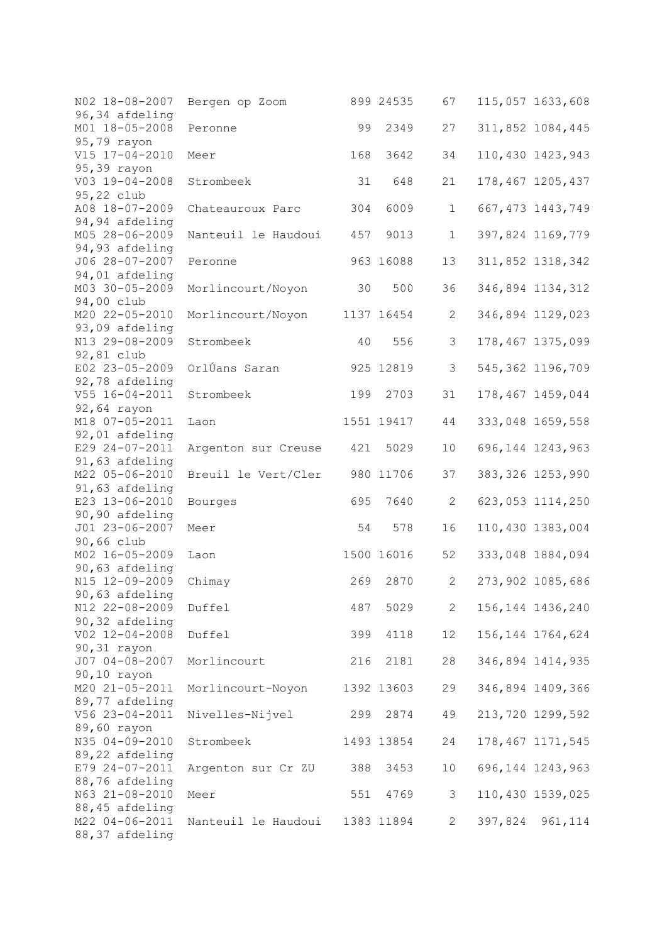| N02 18-08-2007 | Bergen op Zoom      |     | 899 24535  | 67           | 115,057 1633,608   |
|----------------|---------------------|-----|------------|--------------|--------------------|
| 96,34 afdeling |                     |     |            |              |                    |
| M01 18-05-2008 | Peronne             | 99  | 2349       | 27           | 311,852 1084,445   |
| 95,79 rayon    |                     |     |            |              |                    |
| V15 17-04-2010 | Meer                | 168 | 3642       | 34           | 110,430 1423,943   |
| 95,39 rayon    |                     |     |            |              |                    |
| V03 19-04-2008 | Strombeek           | 31  | 648        | 21           | 178,467 1205,437   |
| 95,22 club     |                     |     |            |              |                    |
| A08 18-07-2009 | Chateauroux Parc    | 304 | 6009       | $\mathbf 1$  | 667, 473 1443, 749 |
| 94,94 afdeling |                     |     |            |              |                    |
| M05 28-06-2009 | Nanteuil le Haudoui | 457 | 9013       | $\mathbf 1$  | 397,824 1169,779   |
| 94,93 afdeling |                     |     |            |              |                    |
| J06 28-07-2007 | Peronne             |     | 963 16088  | 13           | 311,852 1318,342   |
| 94,01 afdeling |                     |     |            |              |                    |
| M03 30-05-2009 | Morlincourt/Noyon   | 30  | 500        | 36           | 346,894 1134,312   |
| 94,00 club     |                     |     |            |              |                    |
| M20 22-05-2010 | Morlincourt/Noyon   |     | 1137 16454 | $\mathbf{2}$ | 346,894 1129,023   |
| 93,09 afdeling |                     |     |            |              |                    |
| N13 29-08-2009 | Strombeek           | 40  | 556        | 3            | 178,467 1375,099   |
| 92,81 club     |                     |     |            |              |                    |
| E02 23-05-2009 | OrlÚans Saran       |     | 925 12819  | 3            | 545, 362 1196, 709 |
| 92,78 afdeling |                     |     |            |              |                    |
| V55 16-04-2011 | Strombeek           | 199 | 2703       | 31           | 178,467 1459,044   |
| 92,64 rayon    |                     |     |            |              |                    |
| M18 07-05-2011 | Laon                |     | 1551 19417 | 44           | 333,048 1659,558   |
| 92,01 afdeling |                     |     |            |              |                    |
| E29 24-07-2011 | Argenton sur Creuse | 421 | 5029       | $10$         | 696, 144 1243, 963 |
| 91,63 afdeling |                     |     |            |              |                    |
| M22 05-06-2010 | Breuil le Vert/Cler |     | 980 11706  | 37           | 383, 326 1253, 990 |
|                |                     |     |            |              |                    |
| 91,63 afdeling |                     |     |            |              |                    |
| E23 13-06-2010 | Bourges             | 695 | 7640       | $\mathbf{2}$ | 623,053 1114,250   |
| 90,90 afdeling |                     |     |            |              |                    |
| J01 23-06-2007 | Meer                | 54  | 578        | 16           | 110,430 1383,004   |
| 90,66 club     |                     |     |            |              |                    |
| M02 16-05-2009 | Laon                |     | 1500 16016 | 52           | 333,048 1884,094   |
| 90,63 afdeling |                     |     |            |              |                    |
| N15 12-09-2009 | Chimay              | 269 | 2870       | 2            | 273,902 1085,686   |
| 90,63 afdeling |                     |     |            |              |                    |
| N12 22-08-2009 | Duffel              | 487 | 5029       | 2            | 156, 144 1436, 240 |
| 90,32 afdeling |                     |     |            |              |                    |
| V02 12-04-2008 | Duffel              | 399 | 4118       | 12           | 156, 144 1764, 624 |
| 90,31 rayon    |                     |     |            |              |                    |
| J07 04-08-2007 | Morlincourt         | 216 | 2181       | 28           | 346,894 1414,935   |
| 90,10 rayon    |                     |     |            |              |                    |
| M20 21-05-2011 | Morlincourt-Noyon   |     | 1392 13603 | 29           | 346,894 1409,366   |
| 89,77 afdeling |                     |     |            |              |                    |
| V56 23-04-2011 | Nivelles-Nijvel     |     | 299 2874   | 49           | 213,720 1299,592   |
| 89,60 rayon    |                     |     |            |              |                    |
| N35 04-09-2010 | Strombeek           |     | 1493 13854 | 24           | 178, 467 1171, 545 |
| 89,22 afdeling |                     |     |            |              |                    |
| E79 24-07-2011 | Argenton sur Cr ZU  | 388 | 3453       | 10           | 696, 144 1243, 963 |
| 88,76 afdeling |                     |     |            |              |                    |
| N63 21-08-2010 | Meer                | 551 | 4769       | 3            | 110,430 1539,025   |
| 88,45 afdeling |                     |     |            |              |                    |
| M22 04-06-2011 | Nanteuil le Haudoui |     | 1383 11894 | $\mathbf{2}$ | 397,824 961,114    |
| 88,37 afdeling |                     |     |            |              |                    |
|                |                     |     |            |              |                    |